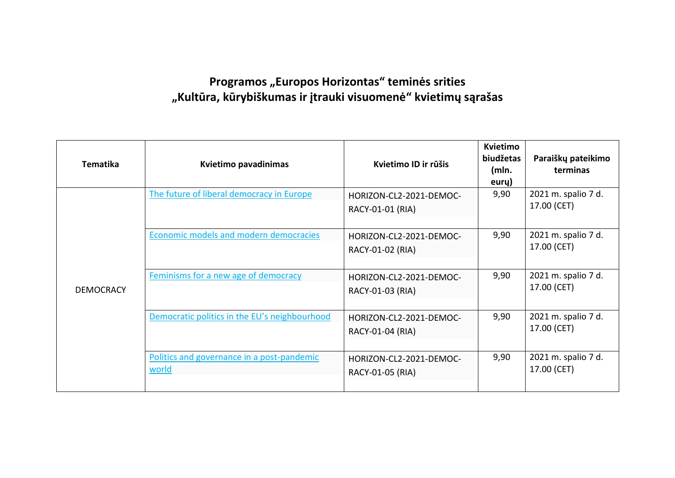## Programos "Europos Horizontas" teminės srities **"Kultūra, kūrybiškumas ir įtrauki visuomenė" kvietimų sąrašas**

| Tematika         | Kvietimo pavadinimas                                | Kvietimo ID ir rūšis                        | <b>Kvietimo</b><br>biudžetas<br>(mln.<br>eury) | Paraiškų pateikimo<br>terminas     |
|------------------|-----------------------------------------------------|---------------------------------------------|------------------------------------------------|------------------------------------|
| <b>DEMOCRACY</b> | The future of liberal democracy in Europe           | HORIZON-CL2-2021-DEMOC-<br>RACY-01-01 (RIA) | 9,90                                           | 2021 m. spalio 7 d.<br>17.00 (CET) |
|                  | <b>Economic models and modern democracies</b>       | HORIZON-CL2-2021-DEMOC-<br>RACY-01-02 (RIA) | 9,90                                           | 2021 m. spalio 7 d.<br>17.00 (CET) |
|                  | Feminisms for a new age of democracy                | HORIZON-CL2-2021-DEMOC-<br>RACY-01-03 (RIA) | 9,90                                           | 2021 m. spalio 7 d.<br>17.00 (CET) |
|                  | Democratic politics in the EU's neighbourhood       | HORIZON-CL2-2021-DEMOC-<br>RACY-01-04 (RIA) | 9,90                                           | 2021 m. spalio 7 d.<br>17.00 (CET) |
|                  | Politics and governance in a post-pandemic<br>world | HORIZON-CL2-2021-DEMOC-<br>RACY-01-05 (RIA) | 9,90                                           | 2021 m. spalio 7 d.<br>17.00 (CET) |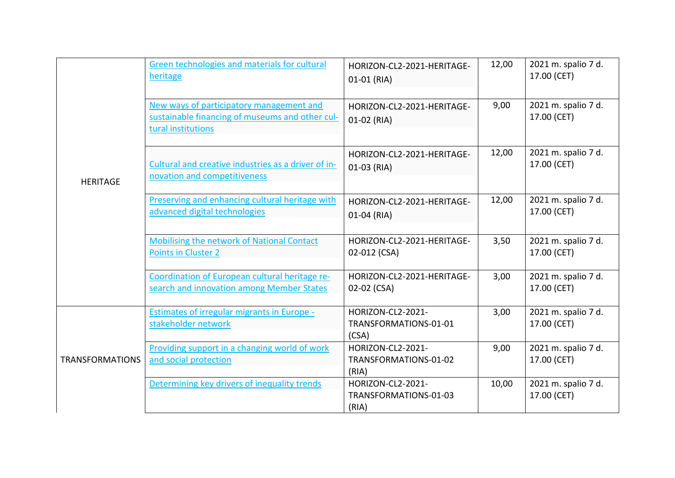| <b>HERITAGE</b>        | Green technologies and materials for cultural<br>heritage                                                         | HORIZON-CL2-2021-HERITAGE-<br>01-01 (RIA)           | 12,00 | 2021 m. spalio 7 d.<br>17.00 (CET) |
|------------------------|-------------------------------------------------------------------------------------------------------------------|-----------------------------------------------------|-------|------------------------------------|
|                        | New ways of participatory management and<br>sustainable financing of museums and other cul-<br>tural institutions | HORIZON-CL2-2021-HERITAGE-<br>01-02 (RIA)           | 9,00  | 2021 m. spalio 7 d.<br>17.00 (CET) |
|                        | Cultural and creative industries as a driver of in-<br>novation and competitiveness                               | HORIZON-CL2-2021-HERITAGE-<br>01-03 (RIA)           | 12,00 | 2021 m. spalio 7 d.<br>17.00 (CET) |
|                        | Preserving and enhancing cultural heritage with<br>advanced digital technologies                                  | HORIZON-CL2-2021-HERITAGE-<br>01-04 (RIA)           | 12,00 | 2021 m. spalio 7 d.<br>17.00 (CET) |
|                        | <b>Mobilising the network of National Contact</b><br>Points in Cluster 2                                          | HORIZON-CL2-2021-HERITAGE-<br>02-012 (CSA)          | 3,50  | 2021 m. spalio 7 d.<br>17.00 (CET) |
|                        | Coordination of European cultural heritage re-<br>search and innovation among Member States                       | HORIZON-CL2-2021-HERITAGE-<br>02-02 (CSA)           | 3,00  | 2021 m. spalio 7 d.<br>17.00 (CET) |
| <b>TRANSFORMATIONS</b> | <b>Estimates of irregular migrants in Europe -</b><br>stakeholder network                                         | HORIZON-CL2-2021-<br>TRANSFORMATIONS-01-01<br>(CSA) | 3,00  | 2021 m. spalio 7 d.<br>17.00 (CET) |
|                        | Providing support in a changing world of work<br>and social protection                                            | HORIZON-CL2-2021-<br>TRANSFORMATIONS-01-02<br>(RIA) | 9,00  | 2021 m. spalio 7 d.<br>17.00 (CET) |
|                        | Determining key drivers of inequality trends                                                                      | HORIZON-CL2-2021-<br>TRANSFORMATIONS-01-03<br>(RIA) | 10,00 | 2021 m. spalio 7 d.<br>17.00 (CET) |